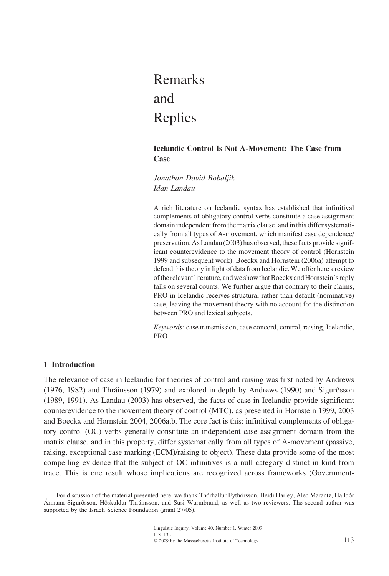# Remarks and Replies

# **Icelandic Control Is Not A-Movement: The Case from Case**

*Jonathan David Bobaljik Idan Landau*

A rich literature on Icelandic syntax has established that infinitival complements of obligatory control verbs constitute a case assignment domain independent from the matrix clause, and in this differ systematically from all types of A-movement, which manifest case dependence/ preservation. As Landau (2003) has observed, these facts provide significant counterevidence to the movement theory of control (Hornstein 1999 and subsequent work). Boeckx and Hornstein (2006a) attempt to defend this theory in light of data from Icelandic. We offer here a review of the relevant literature, and we show that Boeckx and Hornstein's reply fails on several counts. We further argue that contrary to their claims, PRO in Icelandic receives structural rather than default (nominative) case, leaving the movement theory with no account for the distinction between PRO and lexical subjects.

*Keywords:* case transmission, case concord, control, raising, Icelandic, PRO

# **1 Introduction**

The relevance of case in Icelandic for theories of control and raising was first noted by Andrews  $(1976, 1982)$  and Thráinsson  $(1979)$  and explored in depth by Andrews  $(1990)$  and Sigurðsson (1989, 1991). As Landau (2003) has observed, the facts of case in Icelandic provide significant counterevidence to the movement theory of control (MTC), as presented in Hornstein 1999, 2003 and Boeckx and Hornstein 2004, 2006a,b. The core fact is this: infinitival complements of obligatory control (OC) verbs generally constitute an independent case assignment domain from the matrix clause, and in this property, differ systematically from all types of A-movement (passive, raising, exceptional case marking (ECM)/raising to object). These data provide some of the most compelling evidence that the subject of OC infinitives is a null category distinct in kind from trace. This is one result whose implications are recognized across frameworks (Government-

For discussion of the material presented here, we thank Thothallur Eythotsson, Heidi Harley, Alec Marantz, Halldor Ármann Sigurðsson, Höskuldur Thráinsson, and Susi Wurmbrand, as well as two reviewers. The second author was supported by the Israeli Science Foundation (grant 27/05).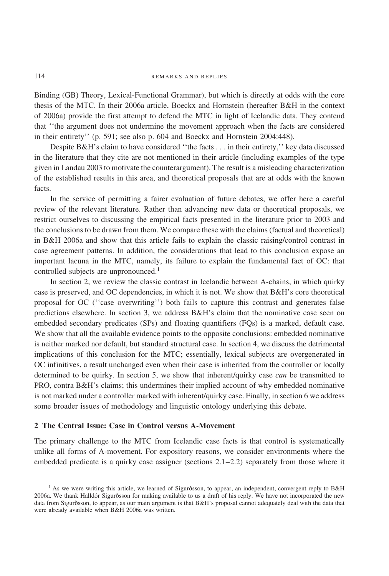Binding (GB) Theory, Lexical-Functional Grammar), but which is directly at odds with the core thesis of the MTC. In their 2006a article, Boeckx and Hornstein (hereafter B&H in the context of 2006a) provide the first attempt to defend the MTC in light of Icelandic data. They contend that ''the argument does not undermine the movement approach when the facts are considered in their entirety'' (p. 591; see also p. 604 and Boeckx and Hornstein 2004:448).

Despite B&H's claim to have considered ''the facts . . . in their entirety,'' key data discussed in the literature that they cite are not mentioned in their article (including examples of the type given in Landau 2003 to motivate the counterargument). The result is a misleading characterization of the established results in this area, and theoretical proposals that are at odds with the known facts.

In the service of permitting a fairer evaluation of future debates, we offer here a careful review of the relevant literature. Rather than advancing new data or theoretical proposals, we restrict ourselves to discussing the empirical facts presented in the literature prior to 2003 and the conclusions to be drawn from them. We compare these with the claims (factual and theoretical) in B&H 2006a and show that this article fails to explain the classic raising/control contrast in case agreement patterns. In addition, the considerations that lead to this conclusion expose an important lacuna in the MTC, namely, its failure to explain the fundamental fact of OC: that controlled subjects are unpronounced.<sup>1</sup>

In section 2, we review the classic contrast in Icelandic between A-chains, in which quirky case is preserved, and OC dependencies, in which it is not. We show that B&H's core theoretical proposal for OC (''case overwriting'') both fails to capture this contrast and generates false predictions elsewhere. In section 3, we address B&H's claim that the nominative case seen on embedded secondary predicates (SPs) and floating quantifiers (FQs) is a marked, default case. We show that all the available evidence points to the opposite conclusions: embedded nominative is neither marked nor default, but standard structural case. In section 4, we discuss the detrimental implications of this conclusion for the MTC; essentially, lexical subjects are overgenerated in OC infinitives, a result unchanged even when their case is inherited from the controller or locally determined to be quirky. In section 5, we show that inherent/quirky case *can* be transmitted to PRO, contra B&H's claims; this undermines their implied account of why embedded nominative is not marked under a controller marked with inherent/quirky case. Finally, in section 6 we address some broader issues of methodology and linguistic ontology underlying this debate.

## **2 The Central Issue: Case in Control versus A-Movement**

The primary challenge to the MTC from Icelandic case facts is that control is systematically unlike all forms of A-movement. For expository reasons, we consider environments where the embedded predicate is a quirky case assigner (sections  $2.1-2.2$ ) separately from those where it

 $<sup>1</sup>$  As we were writing this article, we learned of Sigurðsson, to appear, an independent, convergent reply to B&H</sup> 2006a. We thank Halldór Sigurðsson for making available to us a draft of his reply. We have not incorporated the new data from Sigurðsson, to appear, as our main argument is that B&H's proposal cannot adequately deal with the data that were already available when B&H 2006a was written.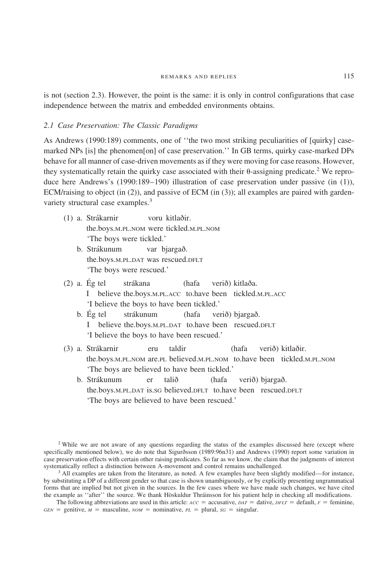is not (section 2.3). However, the point is the same: it is only in control configurations that case independence between the matrix and embedded environments obtains.

## *2.1 Case Preservation: The Classic Paradigms*

As Andrews (1990:189) comments, one of ''the two most striking peculiarities of [quirky] casemarked NPs [is] the phenomen[on] of case preservation.'' In GB terms, quirky case-marked DPs behave for all manner of case-driven movements as if they were moving for case reasons. However, they systematically retain the quirky case associated with their  $\theta$ -assigning predicate.<sup>2</sup> We reproduce here Andrews's (1990:189–190) illustration of case preservation under passive (in (1)), ECM/raising to object (in (2)), and passive of ECM (in (3)); all examples are paired with gardenvariety structural case examples.<sup>3</sup>

- (1) a. Strákarnir voru kitlaðir. the.boys.M.PL.NOM were tickled.M.PL.NOM 'The boys were tickled.'
	- b. Strákunum var bjargað. the.boys.M.PL.DAT was rescued.DFLT 'The boys were rescued.'
- $(2)$  a. Ég tel strákana (hafa verið) kitlaða. I believe the.boys.M.PL.ACC to.have been tickled.M.PL.ACC 'I believe the boys to have been tickled.'
	- b. Ég tel strákunum (hafa verið) bjargað. I believe the.boys.M.PL.DAT to.have been rescued.DFLT 'I believe the boys to have been rescued.'
- (3) a. Strákarnir eru taldir (hafa verið) kitlaðir. the.boys.M.PL.NOM are.PL believed.M.PL.NOM to.have been tickled.M.PL.NOM 'The boys are believed to have been tickled.'
	- b. Strákunum er talið (hafa verið) bjargað. the.boys.M.PL.DAT is.SG believed.DFLT to.have been rescued.DFLT 'The boys are believed to have been rescued.'

<sup>3</sup> All examples are taken from the literature, as noted. A few examples have been slightly modified—for instance, by substituting a DP of a different gender so that case is shown unambiguously, or by explicitly presenting ungrammatical forms that are implied but not given in the sources. In the few cases where we have made such changes, we have cited the example as "after" the source. We thank Höskuldur Thráinsson for his patient help in checking all modifications.

The following abbreviations are used in this article:  $AC =$  accusative,  $DATA =$  dative,  $DFLT =$  default,  $F =$  feminine,  $GEN =$  genitive,  $M =$  masculine,  $NOM =$  nominative,  $PL =$  plural,  $SG =$  singular.

<sup>&</sup>lt;sup>2</sup> While we are not aware of any questions regarding the status of the examples discussed here (except where specifically mentioned below), we do note that Sigurðsson (1989:96n31) and Andrews (1990) report some variation in case preservation effects with certain other raising predicates. So far as we know, the claim that the judgments of interest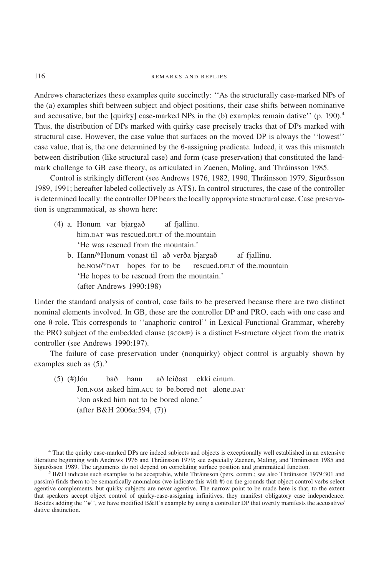Andrews characterizes these examples quite succinctly: ''As the structurally case-marked NPs of the (a) examples shift between subject and object positions, their case shifts between nominative and accusative, but the [quirky] case-marked NPs in the (b) examples remain dative'' (p. 190).<sup>4</sup> Thus, the distribution of DPs marked with quirky case precisely tracks that of DPs marked with structural case. However, the case value that surfaces on the moved DP is always the ''lowest'' case value, that is, the one determined by the  $\theta$ -assigning predicate. Indeed, it was this mismatch between distribution (like structural case) and form (case preservation) that constituted the landmark challenge to GB case theory, as articulated in Zaenen, Maling, and Thráinsson 1985.

Control is strikingly different (see Andrews 1976, 1982, 1990, Thráinsson 1979, Sigurðsson 1989, 1991; hereafter labeled collectively as ATS). In control structures, the case of the controller is determined locally: the controller DP bears the locally appropriate structural case. Case preservation is ungrammatical, as shown here:

- $(4)$  a. Honum var bjargað af fjallinu. him.DAT was rescued.DFLT of the.mountain 'He was rescued from the mountain.'
	- b. Hann/\*Honum vonast til að verða bjargað af fjallinu. he.nom/\*DAT hopes for to be rescued.DFLT of the.mountain 'He hopes to be rescued from the mountain.' (after Andrews 1990:198)

Under the standard analysis of control, case fails to be preserved because there are two distinct nominal elements involved. In GB, these are the controller DP and PRO, each with one case and one  $\theta$ -role. This corresponds to "anaphoric control" in Lexical-Functional Grammar, whereby the PRO subject of the embedded clause (SCOMP) is a distinct F-structure object from the matrix controller (see Andrews 1990:197).

The failure of case preservation under (nonquirky) object control is arguably shown by examples such as  $(5)$ .<sup>5</sup>

 $(5)$   $(\#)$ Jón bað hann að leiðast ekki einum. Jon.NOM asked him.ACC to be.bored not alone.DAT 'Jon asked him not to be bored alone.' (after B&H 2006a:594, (7))

<sup>4</sup> That the quirky case-marked DPs are indeed subjects and objects is exceptionally well established in an extensive literature beginning with Andrews 1976 and Thráinsson 1979; see especially Zaenen, Maling, and Thráinsson 1985 and Sigurðsson 1989. The arguments do not depend on correlating surface position and grammatical function.

<sup>5</sup> B&H indicate such examples to be acceptable, while Thra´insson (pers. comm.; see also Thra´insson 1979:301 and passim) finds them to be semantically anomalous (we indicate this with #) on the grounds that object control verbs select agentive complements, but quirky subjects are never agentive. The narrow point to be made here is that, to the extent that speakers accept object control of quirky-case-assigning infinitives, they manifest obligatory case independence. Besides adding the ''#'', we have modified B&H's example by using a controller DP that overtly manifests the accusative/ dative distinction.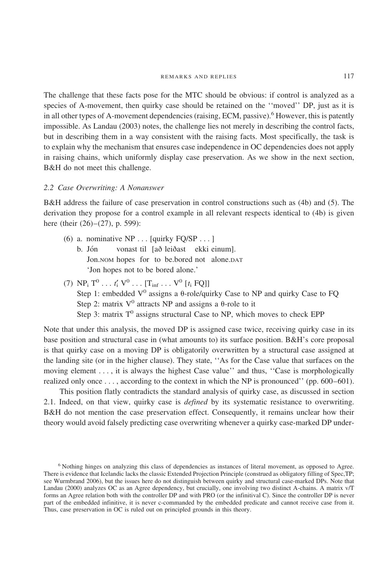The challenge that these facts pose for the MTC should be obvious: if control is analyzed as a species of A-movement, then quirky case should be retained on the "moved" DP, just as it is in all other types of A-movement dependencies (raising, ECM, passive).<sup>6</sup> However, this is patently impossible. As Landau (2003) notes, the challenge lies not merely in describing the control facts, but in describing them in a way consistent with the raising facts. Most specifically, the task is to explain why the mechanism that ensures case independence in OC dependencies does not apply in raising chains, which uniformly display case preservation. As we show in the next section, B&H do not meet this challenge.

#### *2.2 Case Overwriting: A Nonanswer*

B&H address the failure of case preservation in control constructions such as (4b) and (5). The derivation they propose for a control example in all relevant respects identical to (4b) is given here (their (26)–(27), p. 599):

- (6) a. nominative NP . . . [quirky FQ/SP ...] b. Jón vonast til [að leiðast ekki einum]. Jon.NOM hopes for to be.bored not alone.DAT 'Jon hopes not to be bored alone.'
- (7)  $\text{NP}_i \, \text{T}^0 \, \ldots \, \text{f}'_i \, \text{V}^0 \, \ldots \, [\text{T}_{\text{inf}} \, \ldots \, \text{V}^0 \, [t_i \, \text{FQ}]]$ Step 1: embedded  $V^0$  assigns a  $\theta$ -role/quirky Case to NP and quirky Case to FQ Step 2: matrix  $V^0$  attracts NP and assigns a  $\theta$ -role to it Step 3: matrix  $T^0$  assigns structural Case to NP, which moves to check EPP

Note that under this analysis, the moved DP is assigned case twice, receiving quirky case in its base position and structural case in (what amounts to) its surface position. B&H's core proposal is that quirky case on a moving DP is obligatorily overwritten by a structural case assigned at the landing site (or in the higher clause). They state, ''As for the Case value that surfaces on the moving element ..., it is always the highest Case value'' and thus, "Case is morphologically realized only once  $\dots$ , according to the context in which the NP is pronounced'' (pp. 600–601).

This position flatly contradicts the standard analysis of quirky case, as discussed in section 2.1. Indeed, on that view, quirky case is *defined* by its systematic resistance to overwriting. B&H do not mention the case preservation effect. Consequently, it remains unclear how their theory would avoid falsely predicting case overwriting whenever a quirky case-marked DP under-

<sup>6</sup> Nothing hinges on analyzing this class of dependencies as instances of literal movement, as opposed to Agree. There is evidence that Icelandic lacks the classic Extended Projection Principle (construed as obligatory filling of Spec,TP; see Wurmbrand 2006), but the issues here do not distinguish between quirky and structural case-marked DPs. Note that Landau (2000) analyzes OC as an Agree dependency, but crucially, one involving two distinct A-chains. A matrix v/T forms an Agree relation both with the controller DP and with PRO (or the infinitival C). Since the controller DP is never part of the embedded infinitive, it is never c-commanded by the embedded predicate and cannot receive case from it. Thus, case preservation in OC is ruled out on principled grounds in this theory.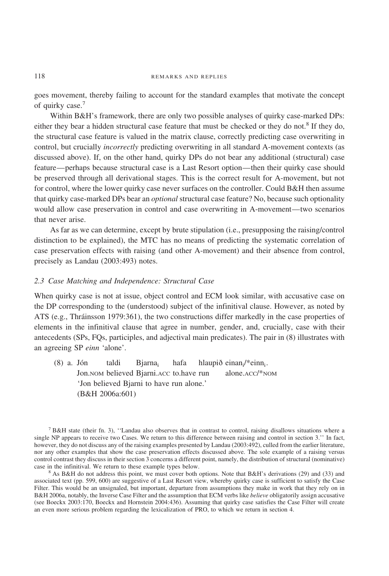goes movement, thereby failing to account for the standard examples that motivate the concept of quirky case.<sup>7</sup>

Within B&H's framework, there are only two possible analyses of quirky case-marked DPs: either they bear a hidden structural case feature that must be checked or they do not.<sup>8</sup> If they do, the structural case feature is valued in the matrix clause, correctly predicting case overwriting in control, but crucially *incorrectly* predicting overwriting in all standard A-movement contexts (as discussed above). If, on the other hand, quirky DPs do not bear any additional (structural) case feature—perhaps because structural case is a Last Resort option—then their quirky case should be preserved through all derivational stages. This is the correct result for A-movement, but not for control, where the lower quirky case never surfaces on the controller. Could B&H then assume that quirky case-marked DPs bear an *optional* structural case feature? No, because such optionality would allow case preservation in control and case overwriting in A-movement—two scenarios that never arise.

As far as we can determine, except by brute stipulation (i.e., presupposing the raising/control distinction to be explained), the MTC has no means of predicting the systematic correlation of case preservation effects with raising (and other A-movement) and their absence from control, precisely as Landau (2003:493) notes.

# *2.3 Case Matching and Independence: Structural Case*

When quirky case is not at issue, object control and ECM look similar, with accusative case on the DP corresponding to the (understood) subject of the infinitival clause. However, as noted by ATS (e.g., Thráinsson 1979:361), the two constructions differ markedly in the case properties of elements in the infinitival clause that agree in number, gender, and, crucially, case with their antecedents (SPs, FQs, participles, and adjectival main predicates). The pair in (8) illustrates with an agreeing SP *einn* 'alone'.

(8) a. Jón taldi Bjarna<sub>i</sub> hafa hlaupið einan $\frac{1}{e}$  einn<sub>i</sub>. Jon.NOM believed Bjarni.ACC to.have run alone.ACC/\*NOM 'Jon believed Bjarni to have run alone.' (B&H 2006a:601)

 $8$  As B&H do not address this point, we must cover both options. Note that B&H's derivations (29) and (33) and associated text (pp. 599, 600) are suggestive of a Last Resort view, whereby quirky case is sufficient to satisfy the Case Filter. This would be an unsignaled, but important, departure from assumptions they make in work that they rely on in B&H 2006a, notably, the Inverse Case Filter and the assumption that ECM verbs like *believe* obligatorily assign accusative (see Boeckx 2003:170, Boeckx and Hornstein 2004:436). Assuming that quirky case satisfies the Case Filter will create an even more serious problem regarding the lexicalization of PRO, to which we return in section 4.

<sup>7</sup> B&H state (their fn. 3), ''Landau also observes that in contrast to control, raising disallows situations where a single NP appears to receive two Cases. We return to this difference between raising and control in section 3.'' In fact, however, they do not discuss any of the raising examples presented by Landau (2003:492), culled from the earlier literature, nor any other examples that show the case preservation effects discussed above. The sole example of a raising versus control contrast they discuss in their section 3 concerns a different point, namely, the distribution of structural (nominative) case in the infinitival. We return to these example types below.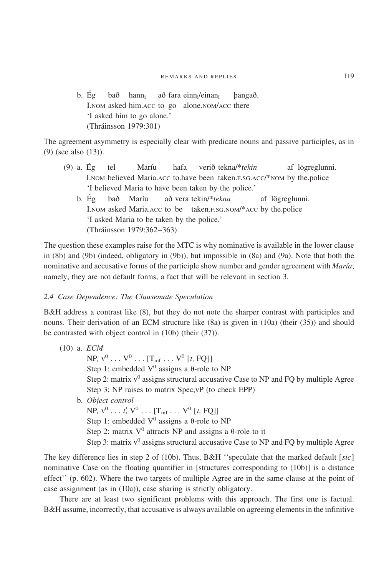b. Ég bað hann<sub>i</sub> að fara einn<sub>i</sub>/einan<sub>i</sub> þangað. I.NOM asked him.ACC to go alone.NOM/ACC there 'I asked him to go alone.' (Thra´insson 1979:301)

The agreement asymmetry is especially clear with predicate nouns and passive participles, as in (9) (see also (13)).

- (9) a. Ég tel Maríu hafa verið tekna/\**tekin* af lögreglunni. I.NOM believed Maria.ACC to.have been taken.F.SG.ACC/\*NOM by the.police 'I believed Maria to have been taken by the police.'
	- b. Ég bað Maríu að vera tekin/\*tekna af lögreglunni. I.NOM asked Maria.ACC to be taken.F.SG.NOM/\*ACC by the.police 'I asked Maria to be taken by the police.' (Thra´insson 1979:362–363)

The question these examples raise for the MTC is why nominative is available in the lower clause in (8b) and (9b) (indeed, obligatory in (9b)), but impossible in (8a) and (9a). Note that both the nominative and accusative forms of the participle show number and gender agreement with *Marı´a*; namely, they are not default forms, a fact that will be relevant in section 3.

# *2.4 Case Dependence: The Clausemate Speculation*

B&H address a contrast like (8), but they do not note the sharper contrast with participles and nouns. Their derivation of an ECM structure like (8a) is given in (10a) (their (35)) and should be contrasted with object control in (10b) (their (37)).

```
(10) a. ECM
    NP_i v^0 ... V^0 ... [T_{inf} ... V^0 [t_i FQ]]
    Step 1: embedded V^0 assigns a \theta-role to NP
    Step 2: matrix v^0 assigns structural accusative Case to NP and FQ by multiple Agree
    Step 3: NP raises to matrix Spec,vP (to check EPP)
b. Object control
    NP_i v^0 \ldots t'_i V^0 \ldots [T_{inf} \ldots V^0 [t_i FQ]]Step 1: embedded V^0 assigns a \theta-role to NP
    Step 2: matrix V^0 attracts NP and assigns a \theta-role to it
    Step 3: matrix v^0 assigns structural accusative Case to NP and FQ by multiple Agree
```
The key difference lies in step 2 of (10b). Thus, B&H ''speculate that the marked default [*sic*] nominative Case on the floating quantifier in [structures corresponding to (10b)] is a distance effect'' (p. 602). Where the two targets of multiple Agree are in the same clause at the point of case assignment (as in (10a)), case sharing is strictly obligatory.

There are at least two significant problems with this approach. The first one is factual. B&H assume, incorrectly, that accusative is always available on agreeing elements in the infinitive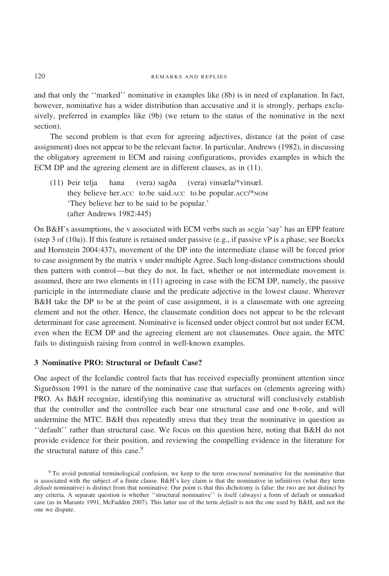and that only the ''marked'' nominative in examples like (8b) is in need of explanation. In fact, however, nominative has a wider distribution than accusative and it is strongly, perhaps exclusively, preferred in examples like (9b) (we return to the status of the nominative in the next section).

The second problem is that even for agreeing adjectives, distance (at the point of case assignment) does not appear to be the relevant factor. In particular, Andrews (1982), in discussing the obligatory agreement in ECM and raising configurations, provides examples in which the ECM DP and the agreeing element are in different clauses, as in (11).

(11)  $\text{Peir telja}$  hana (vera) sagða (vera) vinsæla/\*vinsæl. they believe her.ACC to.be said.ACC to.be popular.ACC/\*NOM 'They believe her to be said to be popular.' (after Andrews 1982:445)

On B&H's assumptions, the v associated with ECM verbs such as *segja* 'say' has an EPP feature (step 3 of (10a)). If this feature is retained under passive (e.g., if passive  $vP$  is a phase; see Boeckx and Hornstein 2004:437), movement of the DP into the intermediate clause will be forced prior to case assignment by the matrix v under multiple Agree. Such long-distance constructions should then pattern with control—but they do not. In fact, whether or not intermediate movement is assumed, there are two elements in (11) agreeing in case with the ECM DP, namely, the passive participle in the intermediate clause and the predicate adjective in the lowest clause. Wherever B&H take the DP to be at the point of case assignment, it is a clausemate with one agreeing element and not the other. Hence, the clausemate condition does not appear to be the relevant determinant for case agreement. Nominative is licensed under object control but not under ECM, even when the ECM DP and the agreeing element are not clausemates. Once again, the MTC fails to distinguish raising from control in well-known examples.

# **3 Nominative PRO: Structural or Default Case?**

One aspect of the Icelandic control facts that has received especially prominent attention since Sigurðsson 1991 is the nature of the nominative case that surfaces on (elements agreeing with) PRO. As B&H recognize, identifying this nominative as structural will conclusively establish that the controller and the controllee each bear one structural case and one  $\theta$ -role, and will undermine the MTC. B&H thus repeatedly stress that they treat the nominative in question as ''default'' rather than structural case. We focus on this question here, noting that B&H do not provide evidence for their position, and reviewing the compelling evidence in the literature for the structural nature of this case.<sup>9</sup>

<sup>9</sup> To avoid potential terminological confusion, we keep to the term *structural* nominative for the nominative that is associated with the subject of a finite clause. B&H's key claim is that the nominative in infinitives (what they term *default* nominative) is distinct from that nominative. Our point is that this dichotomy is false: the two are not distinct by any criteria. A separate question is whether ''structural nominative'' is itself (always) a form of default or unmarked case (as in Marantz 1991, McFadden 2007). This latter use of the term *default* is not the one used by B&H, and not the one we dispute.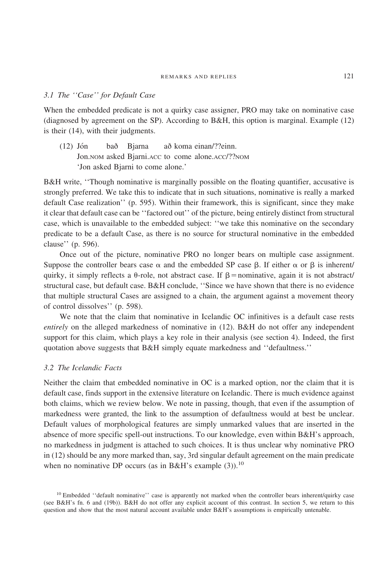# *3.1 The ''Case'' for Default Case*

When the embedded predicate is not a quirky case assigner, PRO may take on nominative case (diagnosed by agreement on the SP). According to B&H, this option is marginal. Example (12) is their (14), with their judgments.

 $(12)$  Jón bað Bjarna að koma einan/??einn. Jon.NOM asked Bjarni.ACC to come alone.ACC/??NOM 'Jon asked Bjarni to come alone.'

B&H write, ''Though nominative is marginally possible on the floating quantifier, accusative is strongly preferred. We take this to indicate that in such situations, nominative is really a marked default Case realization'' (p. 595). Within their framework, this is significant, since they make it clear that default case can be ''factored out'' of the picture, being entirely distinct from structural case, which is unavailable to the embedded subject: ''we take this nominative on the secondary predicate to be a default Case, as there is no source for structural nominative in the embedded clause'' (p. 596).

Once out of the picture, nominative PRO no longer bears on multiple case assignment. Suppose the controller bears case  $\alpha$  and the embedded SP case  $\beta$ . If either  $\alpha$  or  $\beta$  is inherent/ quirky, it simply reflects a  $\theta$ -role, not abstract case. If  $\beta$  = nominative, again it is not abstract/ structural case, but default case. B&H conclude, ''Since we have shown that there is no evidence that multiple structural Cases are assigned to a chain, the argument against a movement theory of control dissolves'' (p. 598).

We note that the claim that nominative in Icelandic OC infinitives is a default case rests *entirely* on the alleged markedness of nominative in (12). B&H do not offer any independent support for this claim, which plays a key role in their analysis (see section 4). Indeed, the first quotation above suggests that B&H simply equate markedness and ''defaultness.''

## *3.2 The Icelandic Facts*

Neither the claim that embedded nominative in OC is a marked option, nor the claim that it is default case, finds support in the extensive literature on Icelandic. There is much evidence against both claims, which we review below. We note in passing, though, that even if the assumption of markedness were granted, the link to the assumption of defaultness would at best be unclear. Default values of morphological features are simply unmarked values that are inserted in the absence of more specific spell-out instructions. To our knowledge, even within B&H's approach, no markedness in judgment is attached to such choices. It is thus unclear why nominative PRO in (12) should be any more marked than, say, 3rd singular default agreement on the main predicate when no nominative DP occurs (as in B&H's example  $(3)$ ).<sup>10</sup>

<sup>&</sup>lt;sup>10</sup> Embedded "default nominative" case is apparently not marked when the controller bears inherent/quirky case (see B&H's fn. 6 and (19b)). B&H do not offer any explicit account of this contrast. In section 5, we return to this question and show that the most natural account available under B&H's assumptions is empirically untenable.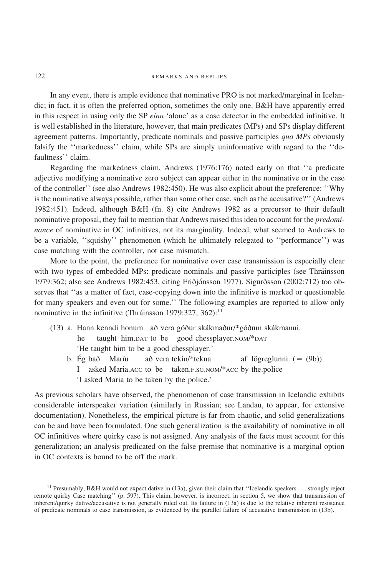In any event, there is ample evidence that nominative PRO is not marked/marginal in Icelandic; in fact, it is often the preferred option, sometimes the only one. B&H have apparently erred in this respect in using only the SP *einn* 'alone' as a case detector in the embedded infinitive. It is well established in the literature, however, that main predicates (MPs) and SPs display different agreement patterns. Importantly, predicate nominals and passive participles *qua MPs* obviously falsify the ''markedness'' claim, while SPs are simply uninformative with regard to the ''defaultness'' claim.

Regarding the markedness claim, Andrews (1976:176) noted early on that ''a predicate adjective modifying a nominative zero subject can appear either in the nominative or in the case of the controller'' (see also Andrews 1982:450). He was also explicit about the preference: ''Why is the nominative always possible, rather than some other case, such as the accusative?'' (Andrews 1982:451). Indeed, although B&H (fn. 8) cite Andrews 1982 as a precursor to their default nominative proposal, they fail to mention that Andrews raised this idea to account for the *predominance* of nominative in OC infinitives, not its marginality. Indeed, what seemed to Andrews to be a variable, ''squishy'' phenomenon (which he ultimately relegated to ''performance'') was case matching with the controller, not case mismatch.

More to the point, the preference for nominative over case transmission is especially clear with two types of embedded MPs: predicate nominals and passive participles (see Thráinsson 1979:362; also see Andrews 1982:453, citing Friðjónsson 1977). Sigurðsson (2002:712) too observes that ''as a matter of fact, case-copying down into the infinitive is marked or questionable for many speakers and even out for some.'' The following examples are reported to allow only nominative in the infinitive (Thráinsson 1979:327, 362):<sup>11</sup>

- $(13)$  a. Hann kenndi honum að vera góður skákmaður/\*góðum skákmanni. he taught him.DAT to be good chessplayer.NOM/\*DAT 'He taught him to be a good chessplayer.'
	- b. Ég bað Maríu að vera tekin/\*tekna af lögreglunni.  $( = (9b))$ I asked Maria.ACC to be taken.F.SG.NOM/\*ACC by the.police 'I asked Maria to be taken by the police.'

As previous scholars have observed, the phenomenon of case transmission in Icelandic exhibits considerable interspeaker variation (similarly in Russian; see Landau, to appear, for extensive documentation). Nonetheless, the empirical picture is far from chaotic, and solid generalizations can be and have been formulated. One such generalization is the availability of nominative in all OC infinitives where quirky case is not assigned. Any analysis of the facts must account for this generalization; an analysis predicated on the false premise that nominative is a marginal option in OC contexts is bound to be off the mark.

<sup>&</sup>lt;sup>11</sup> Presumably, B&H would not expect dative in (13a), given their claim that "Icelandic speakers . . . strongly reject remote quirky Case matching'' (p. 597). This claim, however, is incorrect; in section 5, we show that transmission of inherent/quirky dative/accusative is not generally ruled out. Its failure in (13a) is due to the relative inherent resistance of predicate nominals to case transmission, as evidenced by the parallel failure of accusative transmission in (13b).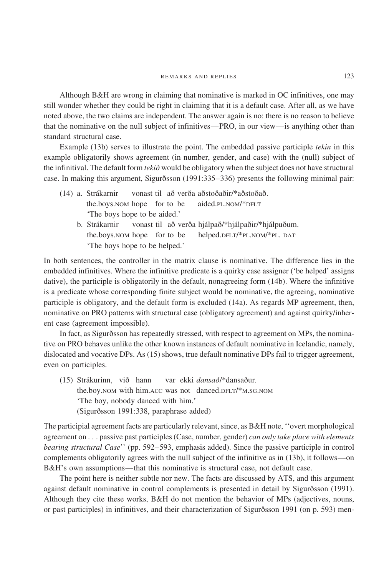Although B&H are wrong in claiming that nominative is marked in OC infinitives, one may still wonder whether they could be right in claiming that it is a default case. After all, as we have noted above, the two claims are independent. The answer again is no: there is no reason to believe that the nominative on the null subject of infinitives—PRO, in our view—is anything other than standard structural case.

Example (13b) serves to illustrate the point. The embedded passive participle *tekin* in this example obligatorily shows agreement (in number, gender, and case) with the (null) subject of the infinitival. The default form *teki* $\delta$  would be obligatory when the subject does not have structural case. In making this argument, Sigurðsson (1991:335–336) presents the following minimal pair:

 $(14)$  a. Strákarnir vonast til að verða aðstoðaðir/\*aðstoðað. the.boys.NOM hope for to be aided.PL.NOM/\*DFLT 'The boys hope to be aided.' b. Strákarnir vonast til að verða hjálpað/\*hjálpaðir/\*hjálpuðum. the.boys.NOM hope for to be helped.DFLT/\*PL.NOM/\*PL. DAT 'The boys hope to be helped.'

In both sentences, the controller in the matrix clause is nominative. The difference lies in the embedded infinitives. Where the infinitive predicate is a quirky case assigner ('be helped' assigns dative), the participle is obligatorily in the default, nonagreeing form (14b). Where the infinitive is a predicate whose corresponding finite subject would be nominative, the agreeing, nominative participle is obligatory, and the default form is excluded (14a). As regards MP agreement, then, nominative on PRO patterns with structural case (obligatory agreement) and against quirky/inherent case (agreement impossible).

In fact, as Sigurðsson has repeatedly stressed, with respect to agreement on MPs, the nominative on PRO behaves unlike the other known instances of default nominative in Icelandic, namely, dislocated and vocative DPs. As (15) shows, true default nominative DPs fail to trigger agreement, even on participles.

(15) Strákurinn, við hann var ekki *dansað*/\*dansaður. the.boy.NOM with him.ACC was not danced.DFLT/\*M.SG.NOM 'The boy, nobody danced with him.' (Sigurðsson 1991:338, paraphrase added)

The participial agreement facts are particularly relevant, since, as B&H note, ''overt morphological agreement on . . . passive past participles (Case, number, gender) *can only take place with elements bearing structural Case*'' (pp. 592–593, emphasis added). Since the passive participle in control complements obligatorily agrees with the null subject of the infinitive as in (13b), it follows—on B&H's own assumptions—that this nominative is structural case, not default case.

The point here is neither subtle nor new. The facts are discussed by ATS, and this argument against default nominative in control complements is presented in detail by Sigurðsson (1991). Although they cite these works, B&H do not mention the behavior of MPs (adjectives, nouns, or past participles) in infinitives, and their characterization of Sigurðsson 1991 (on p. 593) men-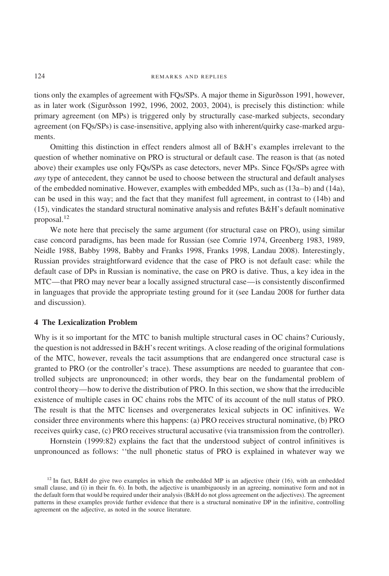tions only the examples of agreement with FQs/SPs. A major theme in Sigurðsson 1991, however, as in later work (Sigurðsson 1992, 1996, 2002, 2003, 2004), is precisely this distinction: while primary agreement (on MPs) is triggered only by structurally case-marked subjects, secondary agreement (on FQs/SPs) is case-insensitive, applying also with inherent/quirky case-marked arguments.

Omitting this distinction in effect renders almost all of B&H's examples irrelevant to the question of whether nominative on PRO is structural or default case. The reason is that (as noted above) their examples use only FQs/SPs as case detectors, never MPs. Since FQs/SPs agree with *any* type of antecedent, they cannot be used to choose between the structural and default analyses of the embedded nominative. However, examples with embedded MPs, such as (13a–b) and (14a), can be used in this way; and the fact that they manifest full agreement, in contrast to (14b) and (15), vindicates the standard structural nominative analysis and refutes B&H's default nominative proposal.<sup>12</sup>

We note here that precisely the same argument (for structural case on PRO), using similar case concord paradigms, has been made for Russian (see Comrie 1974, Greenberg 1983, 1989, Neidle 1988, Babby 1998, Babby and Franks 1998, Franks 1998, Landau 2008). Interestingly, Russian provides straightforward evidence that the case of PRO is not default case: while the default case of DPs in Russian is nominative, the case on PRO is dative. Thus, a key idea in the MTC—that PRO may never bear a locally assigned structural case—is consistently disconfirmed in languages that provide the appropriate testing ground for it (see Landau 2008 for further data and discussion).

## **4 The Lexicalization Problem**

Why is it so important for the MTC to banish multiple structural cases in OC chains? Curiously, the question is not addressed in  $B\&H$ 's recent writings. A close reading of the original formulations of the MTC, however, reveals the tacit assumptions that are endangered once structural case is granted to PRO (or the controller's trace). These assumptions are needed to guarantee that controlled subjects are unpronounced; in other words, they bear on the fundamental problem of control theory—how to derive the distribution of PRO. In this section, we show that the irreducible existence of multiple cases in OC chains robs the MTC of its account of the null status of PRO. The result is that the MTC licenses and overgenerates lexical subjects in OC infinitives. We consider three environments where this happens: (a) PRO receives structural nominative, (b) PRO receives quirky case, (c) PRO receives structural accusative (via transmission from the controller).

Hornstein (1999:82) explains the fact that the understood subject of control infinitives is unpronounced as follows: ''the null phonetic status of PRO is explained in whatever way we

<sup>&</sup>lt;sup>12</sup> In fact, B&H do give two examples in which the embedded MP is an adjective (their  $(16)$ , with an embedded small clause, and (i) in their fn. 6). In both, the adjective is unambiguously in an agreeing, nominative form and not in the default form that would be required under their analysis (B&H do not gloss agreement on the adjectives). The agreement patterns in these examples provide further evidence that there is a structural nominative DP in the infinitive, controlling agreement on the adjective, as noted in the source literature.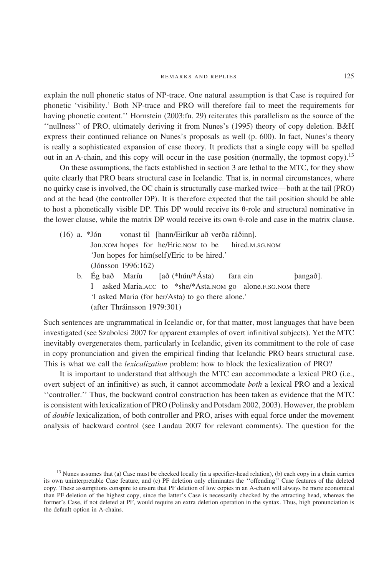explain the null phonetic status of NP-trace. One natural assumption is that Case is required for phonetic 'visibility.' Both NP-trace and PRO will therefore fail to meet the requirements for having phonetic content.'' Hornstein (2003:fn. 29) reiterates this parallelism as the source of the ''nullness'' of PRO, ultimately deriving it from Nunes's (1995) theory of copy deletion. B&H express their continued reliance on Nunes's proposals as well (p. 600). In fact, Nunes's theory is really a sophisticated expansion of case theory. It predicts that a single copy will be spelled out in an A-chain, and this copy will occur in the case position (normally, the topmost copy).<sup>13</sup>

On these assumptions, the facts established in section 3 are lethal to the MTC, for they show quite clearly that PRO bears structural case in Icelandic. That is, in normal circumstances, where no quirky case is involved, the OC chain is structurally case-marked twice—both at the tail (PRO) and at the head (the controller DP). It is therefore expected that the tail position should be able to host a phonetically visible DP. This DP would receive its  $\theta$ -role and structural nominative in the lower clause, while the matrix DP would receive its own  $\theta$ -role and case in the matrix clause.

- $(16)$  a. \*Jón vonast til [hann/Eiríkur að verða ráðinn]. Jon.NOM hopes for he/Eric.NOM to be hired.M.SG.NOM 'Jon hopes for him(self)/Eric to be hired.' (Jónsson 1996:162)
	- b. Ég bað Maríu  $[a\delta$  (\*hún/\*Ásta) fara ein bangað]. I asked Maria.ACC to \*she/\*Asta.NOM go alone.F.SG.NOM there 'I asked Maria (for her/Asta) to go there alone.' (after Thráinsson 1979:301)

Such sentences are ungrammatical in Icelandic or, for that matter, most languages that have been investigated (see Szabolcsi 2007 for apparent examples of overt infinitival subjects). Yet the MTC inevitably overgenerates them, particularly in Icelandic, given its commitment to the role of case in copy pronunciation and given the empirical finding that Icelandic PRO bears structural case. This is what we call the *lexicalization* problem: how to block the lexicalization of PRO?

It is important to understand that although the MTC can accommodate a lexical PRO (i.e., overt subject of an infinitive) as such, it cannot accommodate *both* a lexical PRO and a lexical ''controller.'' Thus, the backward control construction has been taken as evidence that the MTC is consistent with lexicalization of PRO (Polinsky and Potsdam 2002, 2003). However, the problem of *double* lexicalization, of both controller and PRO, arises with equal force under the movement analysis of backward control (see Landau 2007 for relevant comments). The question for the

<sup>&</sup>lt;sup>13</sup> Nunes assumes that (a) Case must be checked locally (in a specifier-head relation), (b) each copy in a chain carries its own uninterpretable Case feature, and (c) PF deletion only eliminates the ''offending'' Case features of the deleted copy. These assumptions conspire to ensure that PF deletion of low copies in an A-chain will always be more economical than PF deletion of the highest copy, since the latter's Case is necessarily checked by the attracting head, whereas the former's Case, if not deleted at PF, would require an extra deletion operation in the syntax. Thus, high pronunciation is the default option in A-chains.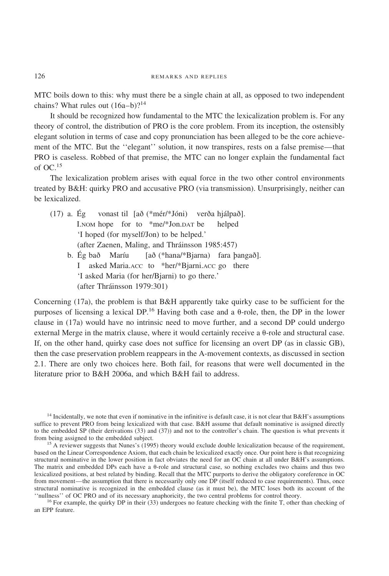MTC boils down to this: why must there be a single chain at all, as opposed to two independent chains? What rules out  $(16a-b)$ ?<sup>14</sup>

It should be recognized how fundamental to the MTC the lexicalization problem is. For any theory of control, the distribution of PRO is the core problem. From its inception, the ostensibly elegant solution in terms of case and copy pronunciation has been alleged to be the core achievement of the MTC. But the ''elegant'' solution, it now transpires, rests on a false premise—that PRO is caseless. Robbed of that premise, the MTC can no longer explain the fundamental fact of  $OC.$ <sup>15</sup>

The lexicalization problem arises with equal force in the two other control environments treated by B&H: quirky PRO and accusative PRO (via transmission). Unsurprisingly, neither can be lexicalized.

|  | (17) a. Ég vonast til [að (*mér/*Jóni) verða hjálpað]. |
|--|--------------------------------------------------------|
|  | I.NOM hope for to *me/*Jon.DAT be helped               |
|  | 'I hoped (for myself/Jon) to be helped.'               |
|  | (after Zaenen, Maling, and Thráinsson 1985:457)        |
|  | b. Ég bað Maríu [að (*hana/*Bjarna) fara þangað].      |
|  | I asked Maria.Acc to *her/*Bjarni.Acc go there         |
|  | 'I asked Maria (for her/Bjarni) to go there.'          |
|  | (after Thráinsson 1979:301)                            |

Concerning (17a), the problem is that B&H apparently take quirky case to be sufficient for the purposes of licensing a lexical DP.<sup>16</sup> Having both case and a  $\theta$ -role, then, the DP in the lower clause in (17a) would have no intrinsic need to move further, and a second DP could undergo external Merge in the matrix clause, where it would certainly receive a  $\theta$ -role and structural case. If, on the other hand, quirky case does not suffice for licensing an overt DP (as in classic GB), then the case preservation problem reappears in the A-movement contexts, as discussed in section 2.1. There are only two choices here. Both fail, for reasons that were well documented in the literature prior to B&H 2006a, and which B&H fail to address.

 $14$  Incidentally, we note that even if nominative in the infinitive is default case, it is not clear that B&H's assumptions suffice to prevent PRO from being lexicalized with that case. B&H assume that default nominative is assigned directly to the embedded SP (their derivations (33) and (37)) and not to the controller's chain. The question is what prevents it from being assigned to the embedded subject.

 $15$  A reviewer suggests that Nunes's (1995) theory would exclude double lexicalization because of the requirement, based on the Linear Correspondence Axiom, that each chain be lexicalized exactly once. Our point here is that recognizing structural nominative in the lower position in fact obviates the need for an OC chain at all under B&H's assumptions. The matrix and embedded DPs each have a  $\theta$ -role and structural case, so nothing excludes two chains and thus two lexicalized positions, at best related by binding. Recall that the MTC purports to derive the obligatory coreference in OC from movement—the assumption that there is necessarily only one DP (itself reduced to case requirements). Thus, once structural nominative is recognized in the embedded clause (as it must be), the MTC loses both its account of the "nullness" of OC PRO and of its necessary anaphoricity, the two central problems for control theory.

<sup>16</sup> For example, the quirky DP in their (33) undergoes no feature checking with the finite T, other than checking of an EPP feature.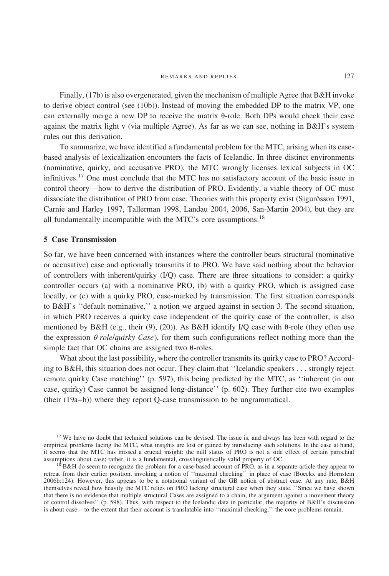Finally, (17b) is also overgenerated, given the mechanism of multiple Agree that B&H invoke to derive object control (see (10b)). Instead of moving the embedded DP to the matrix VP, one can externally merge a new DP to receive the matrix  $\theta$ -role. Both DPs would check their case against the matrix light v (via multiple Agree). As far as we can see, nothing in B&H's system rules out this derivation.

To summarize, we have identified a fundamental problem for the MTC, arising when its casebased analysis of lexicalization encounters the facts of Icelandic. In three distinct environments (nominative, quirky, and accusative PRO), the MTC wrongly licenses lexical subjects in OC infinitives.<sup>17</sup> One must conclude that the MTC has no satisfactory account of the basic issue in control theory—how to derive the distribution of PRO. Evidently, a viable theory of OC must dissociate the distribution of PRO from case. Theories with this property exist (Sigurðsson 1991, Carnie and Harley 1997, Tallerman 1998, Landau 2004, 2006, San-Martin 2004), but they are all fundamentally incompatible with the MTC's core assumptions.<sup>18</sup>

# **5 Case Transmission**

So far, we have been concerned with instances where the controller bears structural (nominative or accusative) case and optionally transmits it to PRO. We have said nothing about the behavior of controllers with inherent/quirky (I/Q) case. There are three situations to consider: a quirky controller occurs (a) with a nominative PRO, (b) with a quirky PRO, which is assigned case locally, or (c) with a quirky PRO, case-marked by transmission. The first situation corresponds to B&H's ''default nominative,'' a notion we argued against in section 3. The second situation, in which PRO receives a quirky case independent of the quirky case of the controller, is also mentioned by B&H (e.g., their (9), (20)). As B&H identify I/Q case with  $\theta$ -role (they often use the expression  $\theta$ -*role/quirky Case*), for them such configurations reflect nothing more than the simple fact that OC chains are assigned two  $\theta$ -roles.

What about the last possibility, where the controller transmits its quirky case to PRO? According to B&H, this situation does not occur. They claim that ''Icelandic speakers... strongly reject remote quirky Case matching'' (p. 597), this being predicted by the MTC, as ''inherent (in our case, quirky) Case cannot be assigned long-distance'' (p. 602). They further cite two examples (their (19a–b)) where they report Q-case transmission to be ungrammatical.

<sup>17</sup> We have no doubt that technical solutions can be devised. The issue is, and always has been with regard to the empirical problems facing the MTC, what insights are lost or gained by introducing such solutions. In the case at hand, it seems that the MTC has missed a crucial insight: the null status of PRO is not a side effect of certain parochial assumptions about case; rather, it is a fundamental, crosslinguistically valid property of OC.

 $18$  B&H do seem to recognize the problem for a case-based account of PRO, as in a separate article they appear to retreat from their earlier position, invoking a notion of ''maximal checking'' in place of case (Boeckx and Hornstein 2006b:124). However, this appears to be a notational variant of the GB notion of abstract case. At any rate, B&H themselves reveal how heavily the MTC relies on PRO lacking structural case when they state, ''Since we have shown that there is no evidence that multiple structural Cases are assigned to a chain, the argument against a movement theory of control dissolves'' (p. 598). Thus, with respect to the Icelandic data in particular, the majority of B&H's discussion is about case—to the extent that their account is translatable into ''maximal checking,'' the core problems remain.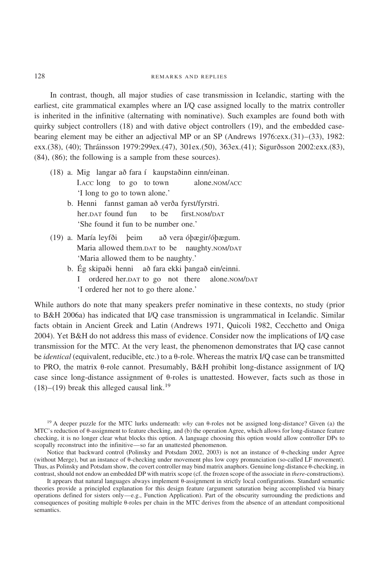In contrast, though, all major studies of case transmission in Icelandic, starting with the earliest, cite grammatical examples where an I/Q case assigned locally to the matrix controller is inherited in the infinitive (alternating with nominative). Such examples are found both with quirky subject controllers (18) and with dative object controllers (19), and the embedded casebearing element may be either an adjectival MP or an SP (Andrews 1976:exx.(31)–(33), 1982: exx.(38), (40); Thráinsson 1979:299ex.(47), 301ex.(50), 363ex.(41); Sigurðsson 2002:exx.(83), (84), (86); the following is a sample from these sources).

- $(18)$  a. Mig langar að fara í kaupstaðinn einn/einan. I.ACC long to go to town alone.NOM/ACC 'I long to go to town alone.'
	- b. Henni fannst gaman að verða fyrst/fyrstri. her.DAT found fun to be first.NOM/DAT 'She found it fun to be number one.'
- (19) a. María leyfði þeim að vera óþægir/óþægum. Maria allowed them.DAT to be naughty.NOM/DAT 'Maria allowed them to be naughty.'
	- b. Ég skipaði henni að fara ekki þangað ein/einni. I ordered her.DAT to go not there alone.NOM/DAT 'I ordered her not to go there alone.'

While authors do note that many speakers prefer nominative in these contexts, no study (prior to B&H 2006a) has indicated that I/Q case transmission is ungrammatical in Icelandic. Similar facts obtain in Ancient Greek and Latin (Andrews 1971, Quicoli 1982, Cecchetto and Oniga 2004). Yet B&H do not address this mass of evidence. Consider now the implications of I/Q case transmission for the MTC. At the very least, the phenomenon demonstrates that I/Q case cannot be *identical* (equivalent, reducible, etc.) to a θ-role. Whereas the matrix I/Q case can be transmitted to PRO, the matrix  $\theta$ -role cannot. Presumably, B&H prohibit long-distance assignment of I/Q case since long-distance assignment of  $\theta$ -roles is unattested. However, facts such as those in  $(18)$ – $(19)$  break this alleged causal link.<sup>19</sup>

<sup>19</sup> A deeper puzzle for the MTC lurks underneath: *why* can  $\theta$ -roles not be assigned long-distance? Given (a) the MTC's reduction of  $\theta$ -assignment to feature checking, and (b) the operation Agree, which allows for long-distance feature checking, it is no longer clear what blocks this option. A language choosing this option would allow controller DPs to scopally reconstruct into the infinitive—so far an unattested phenomenon.

Notice that backward control (Polinsky and Potsdam 2002, 2003) is not an instance of  $\theta$ -checking under Agree (without Merge), but an instance of  $\theta$ -checking under movement plus low copy pronunciation (so-called LF movement). Thus, as Polinsky and Potsdam show, the covert controller may bind matrix anaphors. Genuine long-distance  $\theta$ -checking, in contrast, should not endow an embedded DP with matrix scope (cf. the frozen scope of the associate in *there*-constructions).

It appears that natural languages always implement  $\theta$ -assignment in strictly local configurations. Standard semantic theories provide a principled explanation for this design feature (argument saturation being accomplished via binary operations defined for sisters only—e.g., Function Application). Part of the obscurity surrounding the predictions and consequences of positing multiple  $\theta$ -roles per chain in the MTC derives from the absence of an attendant compositional semantics.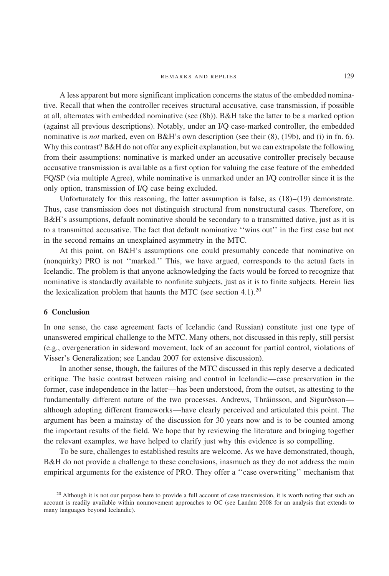A less apparent but more significant implication concerns the status of the embedded nominative. Recall that when the controller receives structural accusative, case transmission, if possible at all, alternates with embedded nominative (see (8b)). B&H take the latter to be a marked option (against all previous descriptions). Notably, under an I/Q case-marked controller, the embedded nominative is *not* marked, even on B&H's own description (see their (8), (19b), and (i) in fn. 6). Why this contrast? B&H do not offer any explicit explanation, but we can extrapolate the following from their assumptions: nominative is marked under an accusative controller precisely because accusative transmission is available as a first option for valuing the case feature of the embedded FQ/SP (via multiple Agree), while nominative is unmarked under an I/Q controller since it is the only option, transmission of I/Q case being excluded.

Unfortunately for this reasoning, the latter assumption is false, as  $(18)$ – $(19)$  demonstrate. Thus, case transmission does not distinguish structural from nonstructural cases. Therefore, on B&H's assumptions, default nominative should be secondary to a transmitted dative, just as it is to a transmitted accusative. The fact that default nominative ''wins out'' in the first case but not in the second remains an unexplained asymmetry in the MTC.

At this point, on B&H's assumptions one could presumably concede that nominative on (nonquirky) PRO is not ''marked.'' This, we have argued, corresponds to the actual facts in Icelandic. The problem is that anyone acknowledging the facts would be forced to recognize that nominative is standardly available to nonfinite subjects, just as it is to finite subjects. Herein lies the lexicalization problem that haunts the MTC (see section 4.1).<sup>20</sup>

# **6 Conclusion**

In one sense, the case agreement facts of Icelandic (and Russian) constitute just one type of unanswered empirical challenge to the MTC. Many others, not discussed in this reply, still persist (e.g., overgeneration in sideward movement, lack of an account for partial control, violations of Visser's Generalization; see Landau 2007 for extensive discussion).

In another sense, though, the failures of the MTC discussed in this reply deserve a dedicated critique. The basic contrast between raising and control in Icelandic—case preservation in the former, case independence in the latter—has been understood, from the outset, as attesting to the fundamentally different nature of the two processes. Andrews, Thráinsson, and Sigurðsson although adopting different frameworks—have clearly perceived and articulated this point. The argument has been a mainstay of the discussion for 30 years now and is to be counted among the important results of the field. We hope that by reviewing the literature and bringing together the relevant examples, we have helped to clarify just why this evidence is so compelling.

To be sure, challenges to established results are welcome. As we have demonstrated, though, B&H do not provide a challenge to these conclusions, inasmuch as they do not address the main empirical arguments for the existence of PRO. They offer a ''case overwriting'' mechanism that

<sup>&</sup>lt;sup>20</sup> Although it is not our purpose here to provide a full account of case transmission, it is worth noting that such an account is readily available within nonmovement approaches to OC (see Landau 2008 for an analysis that extends to many languages beyond Icelandic).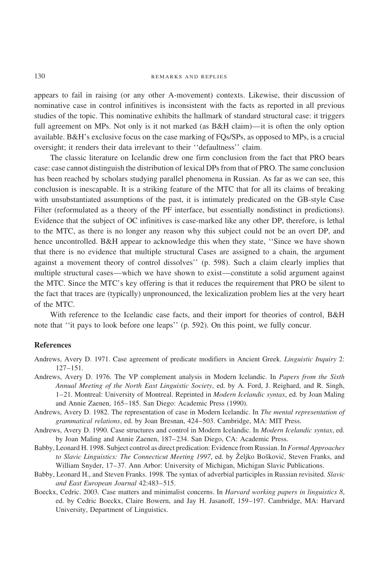appears to fail in raising (or any other A-movement) contexts. Likewise, their discussion of nominative case in control infinitives is inconsistent with the facts as reported in all previous studies of the topic. This nominative exhibits the hallmark of standard structural case: it triggers full agreement on MPs. Not only is it not marked (as B&H claim)—it is often the only option available. B&H's exclusive focus on the case marking of FQs/SPs, as opposed to MPs, is a crucial oversight; it renders their data irrelevant to their ''defaultness'' claim.

The classic literature on Icelandic drew one firm conclusion from the fact that PRO bears case: case cannot distinguish the distribution of lexical DPs from that of PRO. The same conclusion has been reached by scholars studying parallel phenomena in Russian. As far as we can see, this conclusion is inescapable. It is a striking feature of the MTC that for all its claims of breaking with unsubstantiated assumptions of the past, it is intimately predicated on the GB-style Case Filter (reformulated as a theory of the PF interface, but essentially nondistinct in predictions). Evidence that the subject of OC infinitives is case-marked like any other DP, therefore, is lethal to the MTC, as there is no longer any reason why this subject could not be an overt DP, and hence uncontrolled. B&H appear to acknowledge this when they state, ''Since we have shown that there is no evidence that multiple structural Cases are assigned to a chain, the argument against a movement theory of control dissolves'' (p. 598). Such a claim clearly implies that multiple structural cases—which we have shown to exist—constitute a solid argument against the MTC. Since the MTC's key offering is that it reduces the requirement that PRO be silent to the fact that traces are (typically) unpronounced, the lexicalization problem lies at the very heart of the MTC.

With reference to the Icelandic case facts, and their import for theories of control, B&H note that ''it pays to look before one leaps'' (p. 592). On this point, we fully concur.

## **References**

- Andrews, Avery D. 1971. Case agreement of predicate modifiers in Ancient Greek. *Linguistic Inquiry* 2: 127–151.
- Andrews, Avery D. 1976. The VP complement analysis in Modern Icelandic. In *Papers from the Sixth Annual Meeting of the North East Linguistic Society*, ed. by A. Ford, J. Reighard, and R. Singh, 1–21. Montreal: University of Montreal. Reprinted in *Modern Icelandic syntax*, ed. by Joan Maling and Annie Zaenen, 165–185. San Diego: Academic Press (1990).
- Andrews, Avery D. 1982. The representation of case in Modern Icelandic. In *The mental representation of grammatical relations*, ed. by Joan Bresnan, 424–503. Cambridge, MA: MIT Press.
- Andrews, Avery D. 1990. Case structures and control in Modern Icelandic. In *Modern Icelandic syntax*, ed. by Joan Maling and Annie Zaenen, 187–234. San Diego, CA: Academic Press.
- Babby, Leonard H. 1998. Subject control as direct predication: Evidence from Russian. In *Formal Approaches* to Slavic Linguistics: The Connecticut Meeting 1997, ed. by Željko Bošković, Steven Franks, and William Snyder, 17–37. Ann Arbor: University of Michigan, Michigan Slavic Publications.
- Babby, Leonard H., and Steven Franks. 1998. The syntax of adverbial participles in Russian revisited. *Slavic and East European Journal* 42:483–515.
- Boeckx, Cedric. 2003. Case matters and minimalist concerns. In *Harvard working papers in linguistics 8*, ed. by Cedric Boeckx, Claire Bowern, and Jay H. Jasanoff, 159–197. Cambridge, MA: Harvard University, Department of Linguistics.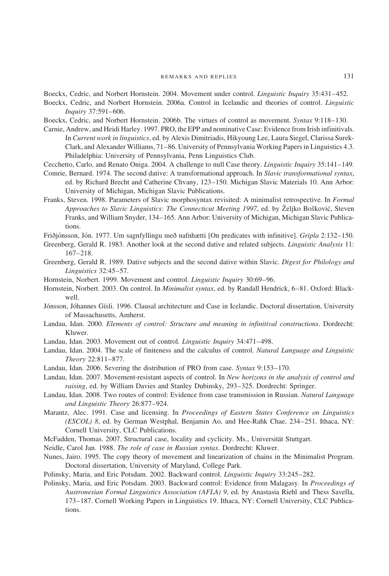Boeckx, Cedric, and Norbert Hornstein. 2004. Movement under control. *Linguistic Inquiry* 35:431–452.

- Boeckx, Cedric, and Norbert Hornstein. 2006a. Control in Icelandic and theories of control. *Linguistic Inquiry* 37:591–606.
- Boeckx, Cedric, and Norbert Hornstein. 2006b. The virtues of control as movement. *Syntax* 9:118–130.
- Carnie, Andrew, and Heidi Harley. 1997. PRO, the EPP and nominative Case: Evidence from Irish infinitivals. In *Current work in linguistics*, ed. by Alexis Dimitriadis, Hikyoung Lee, Laura Siegel, Clarissa Surek-Clark, and Alexander Williams, 71–86. University of Pennsylvania Working Papers in Linguistics 4.3. Philadelphia: University of Pennsylvania, Penn Linguistics Club.
- Cecchetto, Carlo, and Renato Oniga. 2004. A challenge to null Case theory. *Linguistic Inquiry* 35:141–149.
- Comrie, Bernard. 1974. The second dative: A transformational approach. In *Slavic transformational syntax*, ed. by Richard Brecht and Catherine Chvany, 123–150. Michigan Slavic Materials 10. Ann Arbor: University of Michigan, Michigan Slavic Publications.
- Franks, Steven. 1998. Parameters of Slavic morphosyntax revisited: A minimalist retrospective. In *Formal Approaches to Slavic Linguistics: The Connecticut Meeting 1997*, ed. by äeljko Bo'kovic´, Steven Franks, and William Snyder, 134–165. Ann Arbor: University of Michigan, Michigan Slavic Publications.

Friðjónsson, Jón. 1977. Um sagnfyllingu með nafnhætti [On predicates with infinitive]. *Gripla* 2:132–150.

- Greenberg, Gerald R. 1983. Another look at the second dative and related subjects. *Linguistic Analysis* 11: 167–218.
- Greenberg, Gerald R. 1989. Dative subjects and the second dative within Slavic. *Digest for Philology and Linguistics* 32:45–57.
- Hornstein, Norbert. 1999. Movement and control. *Linguistic Inquiry* 30:69–96.
- Hornstein, Norbert. 2003. On control. In *Minimalist syntax*, ed. by Randall Hendrick, 6–81. Oxford: Blackwell.
- Jónsson, Jóhannes Gísli. 1996. Clausal architecture and Case in Icelandic. Doctoral dissertation, University of Massachusetts, Amherst.
- Landau, Idan. 2000. *Elements of control: Structure and meaning in infinitival constructions*. Dordrecht: Kluwer.
- Landau, Idan. 2003. Movement out of control. *Linguistic Inquiry* 34:471–498.
- Landau, Idan. 2004. The scale of finiteness and the calculus of control. *Natural Language and Linguistic Theory* 22:811–877.
- Landau, Idan. 2006. Severing the distribution of PRO from case. *Syntax* 9:153–170.
- Landau, Idan. 2007. Movement-resistant aspects of control. In *New horizons in the analysis of control and raising*, ed. by William Davies and Stanley Dubinsky, 293–325. Dordrecht: Springer.
- Landau, Idan. 2008. Two routes of control: Evidence from case transmission in Russian. *Natural Language and Linguistic Theory* 26:877–924.
- Marantz, Alec. 1991. Case and licensing. In *Proceedings of Eastern States Conference on Linguistics (ESCOL) 8*, ed. by German Westphal, Benjamin Ao, and Hee-Rahk Chae, 234–251. Ithaca, NY: Cornell University, CLC Publications.
- McFadden, Thomas. 2007. Structural case, locality and cyclicity. Ms., Universität Stuttgart.
- Neidle, Carol Jan. 1988. *The role of case in Russian syntax*. Dordrecht: Kluwer.
- Nunes, Jairo. 1995. The copy theory of movement and linearization of chains in the Minimalist Program. Doctoral dissertation, University of Maryland, College Park.
- Polinsky, Maria, and Eric Potsdam. 2002. Backward control. *Linguistic Inquiry* 33:245–282.

Polinsky, Maria, and Eric Potsdam. 2003. Backward control: Evidence from Malagasy. In *Proceedings of Austronesian Formal Linguistics Association (AFLA) 9*, ed. by Anastasia Riehl and Thess Savella, 173–187. Cornell Working Papers in Linguistics 19. Ithaca, NY: Cornell University, CLC Publications.